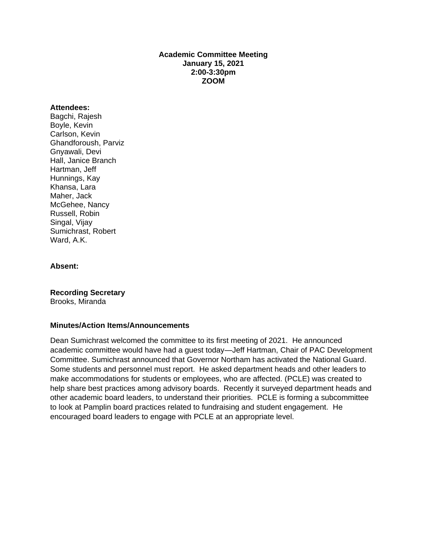## **Academic Committee Meeting January 15, 2021 2:00-3:30pm ZOOM**

#### **Attendees:**

Bagchi, Rajesh Boyle, Kevin Carlson, Kevin Ghandforoush, Parviz Gnyawali, Devi Hall, Janice Branch Hartman, Jeff Hunnings, Kay Khansa, Lara Maher, Jack McGehee, Nancy Russell, Robin Singal, Vijay Sumichrast, Robert Ward, A.K.

#### **Absent:**

**Recording Secretary** Brooks, Miranda

### **Minutes/Action Items/Announcements**

Dean Sumichrast welcomed the committee to its first meeting of 2021. He announced academic committee would have had a guest today—Jeff Hartman, Chair of PAC Development Committee. Sumichrast announced that Governor Northam has activated the National Guard. Some students and personnel must report. He asked department heads and other leaders to make accommodations for students or employees, who are affected. (PCLE) was created to help share best practices among advisory boards. Recently it surveyed department heads and other academic board leaders, to understand their priorities. PCLE is forming a subcommittee to look at Pamplin board practices related to fundraising and student engagement. He encouraged board leaders to engage with PCLE at an appropriate level.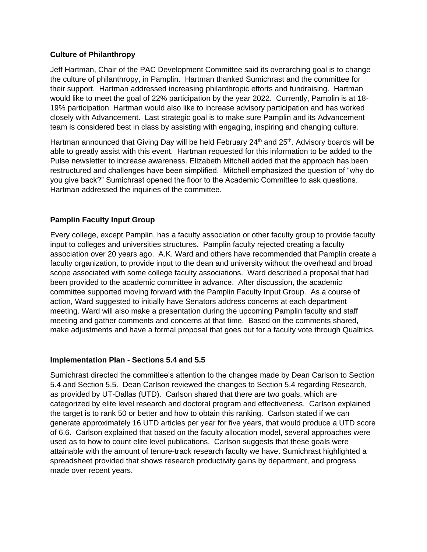## **Culture of Philanthropy**

Jeff Hartman, Chair of the PAC Development Committee said its overarching goal is to change the culture of philanthropy, in Pamplin. Hartman thanked Sumichrast and the committee for their support. Hartman addressed increasing philanthropic efforts and fundraising. Hartman would like to meet the goal of 22% participation by the year 2022. Currently, Pamplin is at 18- 19% participation. Hartman would also like to increase advisory participation and has worked closely with Advancement. Last strategic goal is to make sure Pamplin and its Advancement team is considered best in class by assisting with engaging, inspiring and changing culture.

Hartman announced that Giving Day will be held February 24<sup>th</sup> and 25<sup>th</sup>. Advisory boards will be able to greatly assist with this event. Hartman requested for this information to be added to the Pulse newsletter to increase awareness. Elizabeth Mitchell added that the approach has been restructured and challenges have been simplified. Mitchell emphasized the question of "why do you give back?" Sumichrast opened the floor to the Academic Committee to ask questions. Hartman addressed the inquiries of the committee.

# **Pamplin Faculty Input Group**

Every college, except Pamplin, has a faculty association or other faculty group to provide faculty input to colleges and universities structures. Pamplin faculty rejected creating a faculty association over 20 years ago. A.K. Ward and others have recommended that Pamplin create a faculty organization, to provide input to the dean and university without the overhead and broad scope associated with some college faculty associations. Ward described a proposal that had been provided to the academic committee in advance. After discussion, the academic committee supported moving forward with the Pamplin Faculty Input Group. As a course of action, Ward suggested to initially have Senators address concerns at each department meeting. Ward will also make a presentation during the upcoming Pamplin faculty and staff meeting and gather comments and concerns at that time. Based on the comments shared, make adjustments and have a formal proposal that goes out for a faculty vote through Qualtrics.

### **Implementation Plan - Sections 5.4 and 5.5**

Sumichrast directed the committee's attention to the changes made by Dean Carlson to Section 5.4 and Section 5.5. Dean Carlson reviewed the changes to Section 5.4 regarding Research, as provided by UT-Dallas (UTD). Carlson shared that there are two goals, which are categorized by elite level research and doctoral program and effectiveness. Carlson explained the target is to rank 50 or better and how to obtain this ranking. Carlson stated if we can generate approximately 16 UTD articles per year for five years, that would produce a UTD score of 6.6. Carlson explained that based on the faculty allocation model, several approaches were used as to how to count elite level publications. Carlson suggests that these goals were attainable with the amount of tenure-track research faculty we have. Sumichrast highlighted a spreadsheet provided that shows research productivity gains by department, and progress made over recent years.